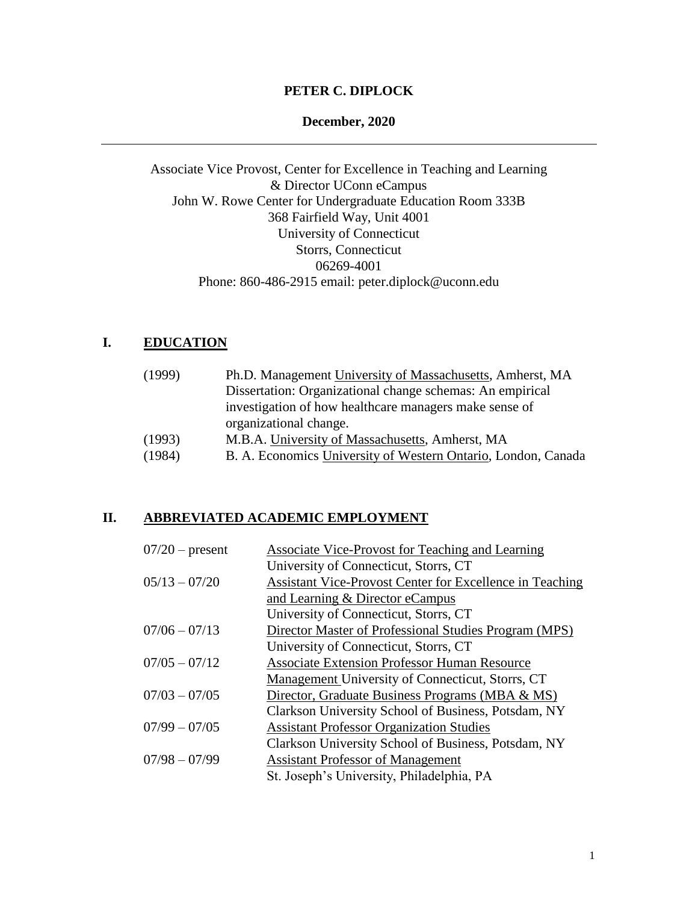## **PETER C. DIPLOCK**

#### **December, 2020**

Associate Vice Provost, Center for Excellence in Teaching and Learning & Director UConn eCampus John W. Rowe Center for Undergraduate Education Room 333B 368 Fairfield Way, Unit 4001 University of Connecticut Storrs, Connecticut 06269-4001 Phone: 860-486-2915 email: peter.diplock@uconn.edu

# **I. EDUCATION**

| (1999) | Ph.D. Management University of Massachusetts, Amherst, MA     |
|--------|---------------------------------------------------------------|
|        | Dissertation: Organizational change schemas: An empirical     |
|        | investigation of how healthcare managers make sense of        |
|        | organizational change.                                        |
| (1993) | M.B.A. University of Massachusetts, Amherst, MA               |
| (1984) | B. A. Economics University of Western Ontario, London, Canada |

### **II. ABBREVIATED ACADEMIC EMPLOYMENT**

| $07/20$ – present | Associate Vice-Provost for Teaching and Learning         |
|-------------------|----------------------------------------------------------|
|                   | University of Connecticut, Storrs, CT                    |
| $05/13 - 07/20$   | Assistant Vice-Provost Center for Excellence in Teaching |
|                   | and Learning & Director eCampus                          |
|                   | University of Connecticut, Storrs, CT                    |
| $07/06 - 07/13$   | Director Master of Professional Studies Program (MPS)    |
|                   | University of Connecticut, Storrs, CT                    |
| $07/05 - 07/12$   | <b>Associate Extension Professor Human Resource</b>      |
|                   | Management University of Connecticut, Storrs, CT         |
| $07/03 - 07/05$   | Director, Graduate Business Programs (MBA & MS)          |
|                   | Clarkson University School of Business, Potsdam, NY      |
| $07/99 - 07/05$   | <b>Assistant Professor Organization Studies</b>          |
|                   | Clarkson University School of Business, Potsdam, NY      |
| $07/98 - 07/99$   | <b>Assistant Professor of Management</b>                 |
|                   | St. Joseph's University, Philadelphia, PA                |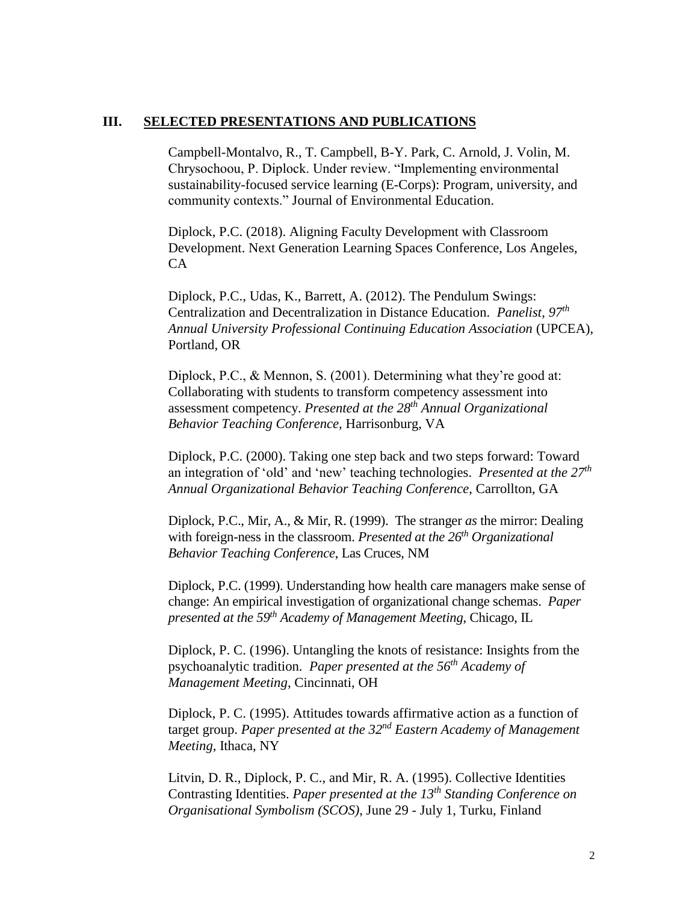#### **III. SELECTED PRESENTATIONS AND PUBLICATIONS**

Campbell-Montalvo, R., T. Campbell, B-Y. Park, C. Arnold, J. Volin, M. Chrysochoou, P. Diplock. Under review. "Implementing environmental sustainability-focused service learning (E-Corps): Program, university, and community contexts." Journal of Environmental Education.

Diplock, P.C. (2018). Aligning Faculty Development with Classroom Development. Next Generation Learning Spaces Conference, Los Angeles, CA

Diplock, P.C., Udas, K., Barrett, A. (2012). The Pendulum Swings: Centralization and Decentralization in Distance Education. *Panelist, 97th Annual University Professional Continuing Education Association* (UPCEA), Portland, OR

Diplock, P.C., & Mennon, S. (2001). Determining what they're good at: Collaborating with students to transform competency assessment into assessment competency. *Presented at the 28th Annual Organizational Behavior Teaching Conference,* Harrisonburg, VA

Diplock, P.C. (2000). Taking one step back and two steps forward: Toward an integration of 'old' and 'new' teaching technologies. *Presented at the 27th Annual Organizational Behavior Teaching Conference*, Carrollton, GA

Diplock, P.C., Mir, A., & Mir, R. (1999). The stranger *as* the mirror: Dealing with foreign-ness in the classroom. *Presented at the 26th Organizational Behavior Teaching Conference*, Las Cruces, NM

Diplock, P.C. (1999). Understanding how health care managers make sense of change: An empirical investigation of organizational change schemas. *Paper presented at the 59th Academy of Management Meeting*, Chicago, IL

Diplock, P. C. (1996). Untangling the knots of resistance: Insights from the psychoanalytic tradition. *Paper presented at the 56th Academy of Management Meeting*, Cincinnati, OH

Diplock, P. C. (1995). Attitudes towards affirmative action as a function of target group. *Paper presented at the 32nd Eastern Academy of Management Meeting*, Ithaca, NY

Litvin, D. R., Diplock, P. C., and Mir, R. A. (1995). Collective Identities Contrasting Identities. *Paper presented at the 13th Standing Conference on Organisational Symbolism (SCOS)*, June 29 - July 1, Turku, Finland